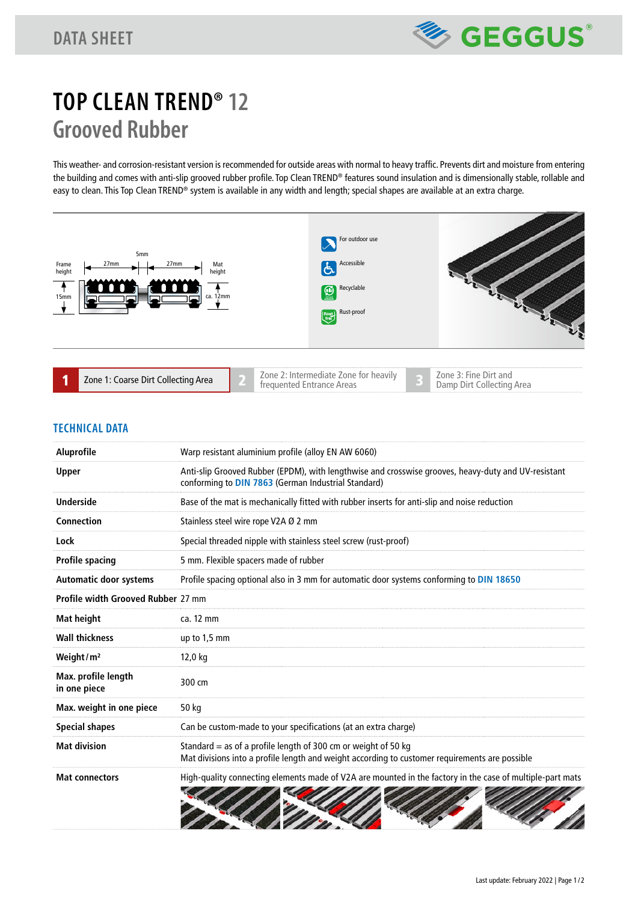

# **TOP CLEAN TREND® 12 Grooved Rubber**

This weather- and corrosion-resistant version is recommended for outside areas with normal to heavy traffic. Prevents dirt and moisture from entering the building and comes with anti-slip grooved rubber profile. Top Clean TREND® features sound insulation and is dimensionally stable, rollable and easy to clean. This Top Clean TREND® system is available in any width and length; special shapes are available at an extra charge.



#### **TECHNICAL DATA**

| <b>Aluprofile</b>                   | Warp resistant aluminium profile (alloy EN AW 6060)                                                                                                              |
|-------------------------------------|------------------------------------------------------------------------------------------------------------------------------------------------------------------|
| <b>Upper</b>                        | Anti-slip Grooved Rubber (EPDM), with lengthwise and crosswise grooves, heavy-duty and UV-resistant<br>conforming to DIN 7863 (German Industrial Standard)       |
| <b>Underside</b>                    | Base of the mat is mechanically fitted with rubber inserts for anti-slip and noise reduction                                                                     |
| <b>Connection</b>                   | Stainless steel wire rope V2A Ø 2 mm                                                                                                                             |
| Lock                                | Special threaded nipple with stainless steel screw (rust-proof)                                                                                                  |
| <b>Profile spacing</b>              | 5 mm. Flexible spacers made of rubber                                                                                                                            |
| <b>Automatic door systems</b>       | Profile spacing optional also in 3 mm for automatic door systems conforming to DIN 18650                                                                         |
| Profile width Grooved Rubber 27 mm  |                                                                                                                                                                  |
| Mat height                          | ca. 12 mm                                                                                                                                                        |
| <b>Wall thickness</b>               | up to 1,5 mm                                                                                                                                                     |
| Weight/m <sup>2</sup>               | 12,0 kg                                                                                                                                                          |
| Max. profile length<br>in one piece | 300 cm                                                                                                                                                           |
| Max. weight in one piece            | 50 kg                                                                                                                                                            |
| <b>Special shapes</b>               | Can be custom-made to your specifications (at an extra charge)                                                                                                   |
| <b>Mat division</b>                 | Standard = as of a profile length of 300 cm or weight of 50 kg<br>Mat divisions into a profile length and weight according to customer requirements are possible |
| <b>Mat connectors</b>               | High-quality connecting elements made of V2A are mounted in the factory in the case of multiple-part mats                                                        |